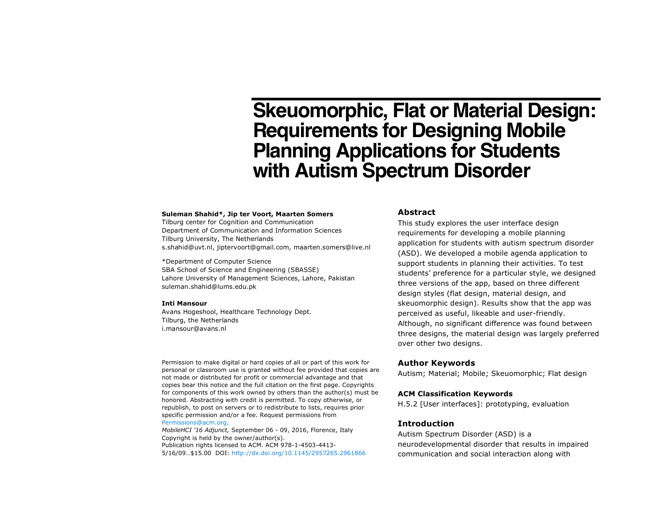# **Skeuomorphic, Flat or Material Design: Requirements for Designing Mobile Planning Applications for Students with Autism Spectrum Disorder**

#### **Suleman Shahid\*, Jip ter Voort, Maarten Somers**

Tilburg center for Cognition and Communication Department of Communication and Information Sciences Tilburg University, The Netherlands s.shahid@uvt.nl, jiptervoort@gmail.com, maarten.somers@live.nl

\*Department of Computer Science SBA School of Science and Engineering (SBASSE) Lahore University of Management Sciences, Lahore, Pakistan suleman.shahid@lums.edu.pk

#### **Inti Mansour**

Avans Hogeshool, Healthcare Technology Dept. Tilburg, the Netherlands i.mansour@avans.nl

Permission to make digital or hard copies of all or part of this work for personal or classroom use is granted without fee provided that copies are not made or distributed for profit or commercial advantage and that copies bear this notice and the full citation on the first page. Copyrights for components of this work owned by others than the author(s) must be honored. Abstracting with credit is permitted. To copy otherwise, or republish, to post on servers or to redistribute to lists, requires prior specific permission and/or a fee. Request permissions from Permissions@acm.org.

*MobileHCI '16 Adjunct,* September 06 - 09, 2016, Florence, Italy Copyright is held by the owner/author(s). Publication rights licensed to ACM. ACM 978-1-4503-4413- 5/16/09…\$15.00 DOI: http://dx.doi.org/10.1145/2957265.2961866

# **Abstract**

This study explores the user interface design requirements for developing a mobile planning application for students with autism spectrum disorder (ASD). We developed a mobile agenda application to support students in planning their activities. To test students' preference for a particular style, we designed three versions of the app, based on three different design styles (flat design, material design, and skeuomorphic design). Results show that the app was perceived as useful, likeable and user-friendly. Although, no significant difference was found between three designs, the material design was largely preferred over other two designs.

# **Author Keywords**

Autism; Material; Mobile; Skeuomorphic; Flat design

### **ACM Classification Keywords**

H.5.2 [User interfaces]: prototyping, evaluation

# **Introduction**

Autism Spectrum Disorder (ASD) is a neurodevelopmental disorder that results in impaired communication and social interaction along with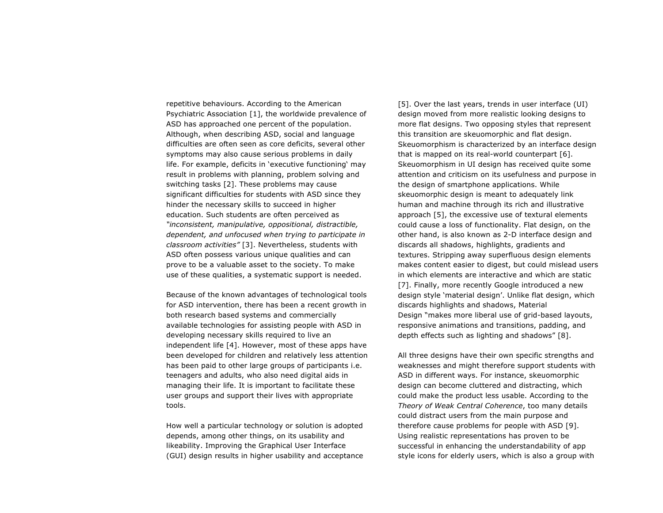repetitive behaviours. According to the American Psychiatric Association [1], the worldwide prevalence of ASD has approached one percent of the population. Although, when describing ASD, social and language difficulties are often seen as core deficits, several other symptoms may also cause serious problems in daily life. For example, deficits in 'executive functioning' may result in problems with planning, problem solving and switching tasks [2]. These problems may cause significant difficulties for students with ASD since they hinder the necessary skills to succeed in higher education. Such students are often perceived as *"inconsistent, manipulative, oppositional, distractible, dependent, and unfocused when trying to participate in classroom activities"* [3]. Nevertheless, students with ASD often possess various unique qualities and can prove to be a valuable asset to the society. To make use of these qualities, a systematic support is needed.

Because of the known advantages of technological tools for ASD intervention, there has been a recent growth in both research based systems and commercially available technologies for assisting people with ASD in developing necessary skills required to live an independent life [4]. However, most of these apps have been developed for children and relatively less attention has been paid to other large groups of participants i.e. teenagers and adults, who also need digital aids in managing their life. It is important to facilitate these user groups and support their lives with appropriate tools.

How well a particular technology or solution is adopted depends, among other things, on its usability and likeability. Improving the Graphical User Interface (GUI) design results in higher usability and acceptance [5]. Over the last years, trends in user interface (UI) design moved from more realistic looking designs to more flat designs. Two opposing styles that represent this transition are skeuomorphic and flat design. Skeuomorphism is characterized by an interface design that is mapped on its real-world counterpart [6]. Skeuomorphism in UI design has received quite some attention and criticism on its usefulness and purpose in the design of smartphone applications. While skeuomorphic design is meant to adequately link human and machine through its rich and illustrative approach [5], the excessive use of textural elements could cause a loss of functionality. Flat design, on the other hand, is also known as 2-D interface design and discards all shadows, highlights, gradients and textures. Stripping away superfluous design elements makes content easier to digest, but could mislead users in which elements are interactive and which are static [7]. Finally, more recently Google introduced a new design style 'material design'. Unlike flat design, which discards highlights and shadows, Material Design "makes more liberal use of grid-based layouts, responsive animations and transitions, padding, and depth effects such as lighting and shadows" [8].

All three designs have their own specific strengths and weaknesses and might therefore support students with ASD in different ways. For instance, skeuomorphic design can become cluttered and distracting, which could make the product less usable. According to the *Theory of Weak Central Coherence*, too many details could distract users from the main purpose and therefore cause problems for people with ASD [9]. Using realistic representations has proven to be successful in enhancing the understandability of app style icons for elderly users, which is also a group with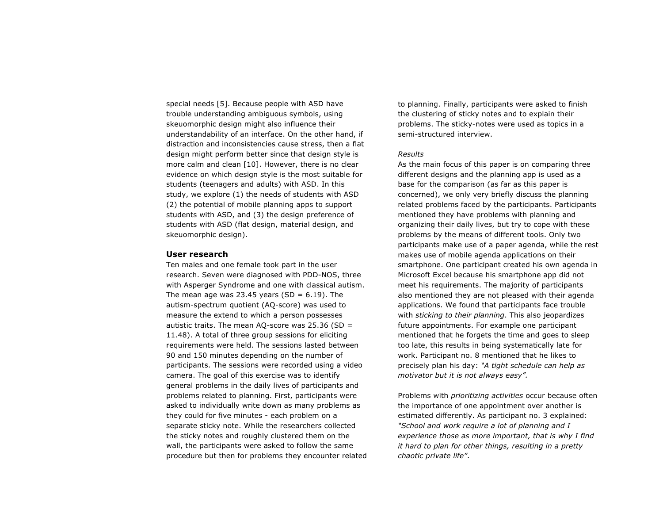special needs [5]. Because people with ASD have trouble understanding ambiguous symbols, using skeuomorphic design might also influence their understandability of an interface. On the other hand, if distraction and inconsistencies cause stress, then a flat design might perform better since that design style is more calm and clean [10]. However, there is no clear evidence on which design style is the most suitable for students (teenagers and adults) with ASD. In this study, we explore (1) the needs of students with ASD (2) the potential of mobile planning apps to support students with ASD, and (3) the design preference of students with ASD (flat design, material design, and skeuomorphic design).

## **User research**

Ten males and one female took part in the user research. Seven were diagnosed with PDD-NOS, three with Asperger Syndrome and one with classical autism. The mean age was 23.45 years (SD =  $6.19$ ). The autism-spectrum quotient (AQ-score) was used to measure the extend to which a person possesses autistic traits. The mean AQ-score was  $25.36$  (SD = 11.48). A total of three group sessions for eliciting requirements were held. The sessions lasted between 90 and 150 minutes depending on the number of participants. The sessions were recorded using a video camera. The goal of this exercise was to identify general problems in the daily lives of participants and problems related to planning. First, participants were asked to individually write down as many problems as they could for five minutes - each problem on a separate sticky note. While the researchers collected the sticky notes and roughly clustered them on the wall, the participants were asked to follow the same procedure but then for problems they encounter related to planning. Finally, participants were asked to finish the clustering of sticky notes and to explain their problems. The sticky-notes were used as topics in a semi-structured interview.

#### *Results*

As the main focus of this paper is on comparing three different designs and the planning app is used as a base for the comparison (as far as this paper is concerned), we only very briefly discuss the planning related problems faced by the participants. Participants mentioned they have problems with planning and organizing their daily lives, but try to cope with these problems by the means of different tools. Only two participants make use of a paper agenda, while the rest makes use of mobile agenda applications on their smartphone. One participant created his own agenda in Microsoft Excel because his smartphone app did not meet his requirements. The majority of participants also mentioned they are not pleased with their agenda applications. We found that participants face trouble with *sticking to their planning*. This also jeopardizes future appointments. For example one participant mentioned that he forgets the time and goes to sleep too late, this results in being systematically late for work. Participant no. 8 mentioned that he likes to precisely plan his day: *"A tight schedule can help as motivator but it is not always easy".*

Problems with *prioritizing activities* occur because often the importance of one appointment over another is estimated differently. As participant no. 3 explained: *"School and work require a lot of planning and I experience those as more important, that is why I find it hard to plan for other things, resulting in a pretty chaotic private life"*.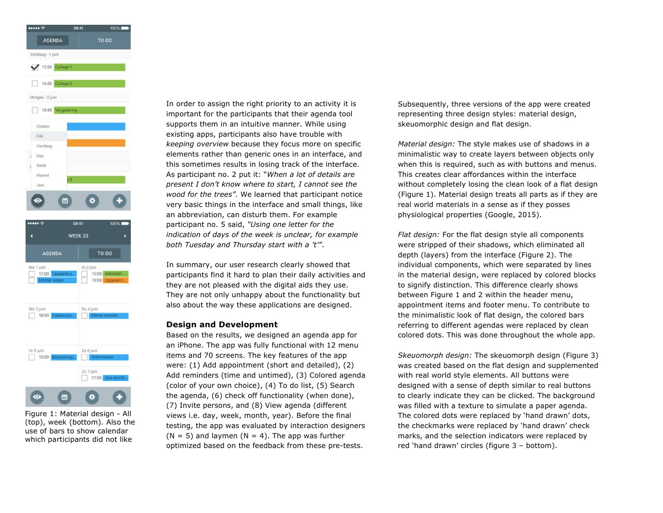



Figure 1: Material design - All (top), week (bottom). Also the use of bars to show calendar which participants did not like

In order to assign the right priority to an activity it is important for the participants that their agenda tool supports them in an intuitive manner. While using existing apps, participants also have trouble with *keeping overview* because they focus more on specific elements rather than generic ones in an interface, and this sometimes results in losing track of the interface. As participant no. 2 put it: "*When a lot of details are present I don't know where to start, I cannot see the wood for the trees".* We learned that participant notice very basic things in the interface and small things, like an abbreviation, can disturb them. For example participant no. 5 said, *"Using one letter for the indication of days of the week is unclear, for example both Tuesday and Thursday start with a 't'"*.

In summary, our user research clearly showed that participants find it hard to plan their daily activities and they are not pleased with the digital aids they use. They are not only unhappy about the functionality but also about the way these applications are designed.

## **Design and Development**

Based on the results, we designed an agenda app for an iPhone. The app was fully functional with 12 menu items and 70 screens. The key features of the app were: (1) Add appointment (short and detailed), (2) Add reminders (time and untimed), (3) Colored agenda (color of your own choice), (4) To do list, (5) Search the agenda, (6) check off functionality (when done), (7) Invite persons, and (8) View agenda (different views i.e. day, week, month, year). Before the final testing, the app was evaluated by interaction designers  $(N = 5)$  and laymen  $(N = 4)$ . The app was further optimized based on the feedback from these pre-tests.

Subsequently, three versions of the app were created representing three design styles: material design, skeuomorphic design and flat design.

*Material design:* The style makes use of shadows in a minimalistic way to create layers between objects only when this is required, such as with buttons and menus. This creates clear affordances within the interface without completely losing the clean look of a flat design (Figure 1). Material design treats all parts as if they are real world materials in a sense as if they posses physiological properties (Google, 2015).

*Flat design:* For the flat design style all components were stripped of their shadows, which eliminated all depth (layers) from the interface (Figure 2). The individual components, which were separated by lines in the material design, were replaced by colored blocks to signify distinction. This difference clearly shows between Figure 1 and 2 within the header menu, appointment items and footer menu. To contribute to the minimalistic look of flat design, the colored bars referring to different agendas were replaced by clean colored dots. This was done throughout the whole app.

*Skeuomorph design:* The skeuomorph design (Figure 3) was created based on the flat design and supplemented with real world style elements. All buttons were designed with a sense of depth similar to real buttons to clearly indicate they can be clicked. The background was filled with a texture to simulate a paper agenda. The colored dots were replaced by 'hand drawn' dots, the checkmarks were replaced by 'hand drawn' check marks, and the selection indicators were replaced by red 'hand drawn' circles (figure 3 – bottom).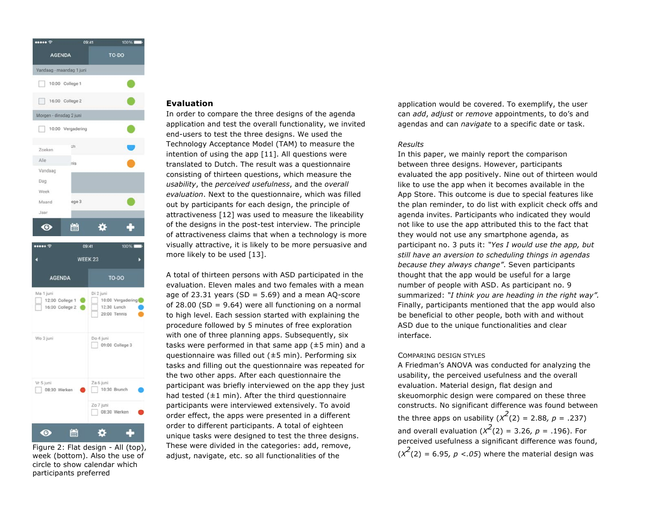

week (bottom). Also the use of circle to show calendar which participants preferred

# **Evaluation**

In order to compare the three designs of the agenda application and test the overall functionality, we invited end-users to test the three designs. We used the Technology Acceptance Model (TAM) to measure the intention of using the app [11]. All questions were translated to Dutch. The result was a questionnaire consisting of thirteen questions, which measure the *usability*, the *perceived usefulness*, and the *overall evaluation*. Next to the questionnaire, which was filled out by participants for each design, the principle of attractiveness [12] was used to measure the likeability of the designs in the post-test interview. The principle of attractiveness claims that when a technology is more visually attractive, it is likely to be more persuasive and more likely to be used [13].

A total of thirteen persons with ASD participated in the evaluation. Eleven males and two females with a mean age of 23.31 years (SD =  $5.69$ ) and a mean AQ-score of 28.00 (SD = 9.64) were all functioning on a normal to high level. Each session started with explaining the procedure followed by 5 minutes of free exploration with one of three planning apps. Subsequently, six tasks were performed in that same app  $(\pm 5 \text{ min})$  and a questionnaire was filled out (±5 min). Performing six tasks and filling out the questionnaire was repeated for the two other apps. After each questionnaire the participant was briefly interviewed on the app they just had tested  $(±1$  min). After the third questionnaire participants were interviewed extensively. To avoid order effect, the apps were presented in a different order to different participants. A total of eighteen unique tasks were designed to test the three designs. These were divided in the categories: add, remove, adjust, navigate, etc. so all functionalities of the Figure 2: Flat design - All (top), These were divided in the categories: add, remove,<br>Week (hottom), Also the use of adjust navigate etc. so all functionalities of the  $(x^2(2) = 6.95, p < .05)$  where the material design was

application would be covered. To exemplify, the user can *add*, *adjust* or *remove* appointments, to do's and agendas and can *navigate* to a specific date or task.

# *Results*

In this paper, we mainly report the comparison between three designs. However, participants evaluated the app positively. Nine out of thirteen would like to use the app when it becomes available in the App Store. This outcome is due to special features like the plan reminder, to do list with explicit check offs and agenda invites. Participants who indicated they would not like to use the app attributed this to the fact that they would not use any smartphone agenda, as participant no. 3 puts it: *"Yes I would use the app, but still have an aversion to scheduling things in agendas because they always change"*. Seven participants thought that the app would be useful for a large number of people with ASD. As participant no. 9 summarized: *"I think you are heading in the right way".*  Finally, participants mentioned that the app would also be beneficial to other people, both with and without ASD due to the unique functionalities and clear interface.

#### COMPARING DESIGN STYLES

A Friedman's ANOVA was conducted for analyzing the usability, the perceived usefulness and the overall evaluation. Material design, flat design and skeuomorphic design were compared on these three constructs. No significant difference was found between the three apps on usability  $(x^2(2) = 2.88, p = .237)$ and overall evaluation  $(x^2(2) = 3.26, p = .196)$ . For perceived usefulness a significant difference was found,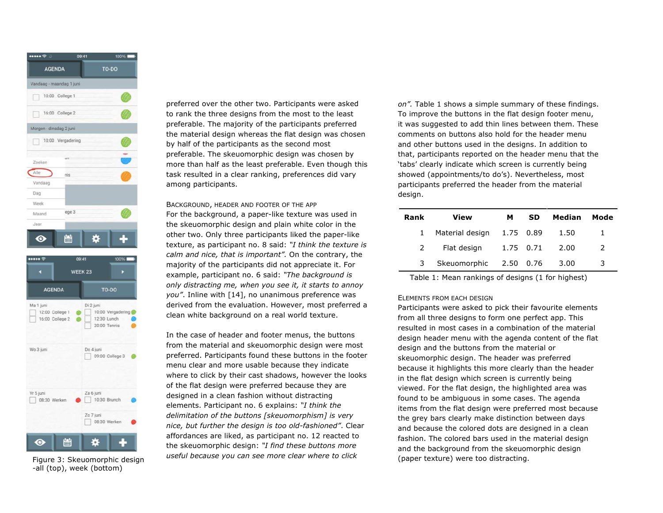



-all (top), week (bottom)

preferred over the other two. Participants were asked to rank the three designs from the most to the least preferable. The majority of the participants preferred the material design whereas the flat design was chosen by half of the participants as the second most preferable. The skeuomorphic design was chosen by more than half as the least preferable. Even though this task resulted in a clear ranking, preferences did vary among participants.

BACKGROUND, HEADER AND FOOTER OF THE APP For the background, a paper-like texture was used in the skeuomorphic design and plain white color in the other two. Only three participants liked the paper-like texture, as participant no. 8 said: *"I think the texture is calm and nice, that is important".* On the contrary, the majority of the participants did not appreciate it. For example, participant no. 6 said: *"The background is only distracting me, when you see it, it starts to annoy you"*. Inline with [14], no unanimous preference was derived from the evaluation. However, most preferred a clean white background on a real world texture.

In the case of header and footer menus, the buttons from the material and skeuomorphic design were most preferred. Participants found these buttons in the footer menu clear and more usable because they indicate where to click by their cast shadows, however the looks of the flat design were preferred because they are designed in a clean fashion without distracting elements. Participant no. 6 explains: *"I think the delimitation of the buttons [skeuomorphism] is very nice, but further the design is too old-fashioned"*. Clear affordances are liked, as participant no. 12 reacted to the skeuomorphic design: *"I find these buttons more useful because you can see more clear where to click*  Figure 3: Skeuomorphic design and the all because you can see more clear where to click and the paper texture) were too distracting.

*on".* Table 1 shows a simple summary of these findings. To improve the buttons in the flat design footer menu, it was suggested to add thin lines between them. These comments on buttons also hold for the header menu and other buttons used in the designs. In addition to that, participants reported on the header menu that the 'tabs' clearly indicate which screen is currently being showed (appointments/to do's). Nevertheless, most participants preferred the header from the material design.

| Rank          | View                   | м         | <b>SD</b> | Median | Mode |
|---------------|------------------------|-----------|-----------|--------|------|
| $\mathbf{1}$  | Material design        |           | 1.75 0.89 | 1.50   |      |
| $\mathcal{P}$ | Flat design            | 1.75 0.71 |           | 2.00   | 2    |
| 3             | Skeuomorphic 2.50 0.76 |           |           | 3.00   | 3    |

Table 1: Mean rankings of designs (1 for highest)

#### ELEMENTS FROM EACH DESIGN

Participants were asked to pick their favourite elements from all three designs to form one perfect app. This resulted in most cases in a combination of the material design header menu with the agenda content of the flat design and the buttons from the material or skeuomorphic design. The header was preferred because it highlights this more clearly than the header in the flat design which screen is currently being viewed. For the flat design, the highlighted area was found to be ambiguous in some cases. The agenda items from the flat design were preferred most because the grey bars clearly make distinction between days and because the colored dots are designed in a clean fashion. The colored bars used in the material design and the background from the skeuomorphic design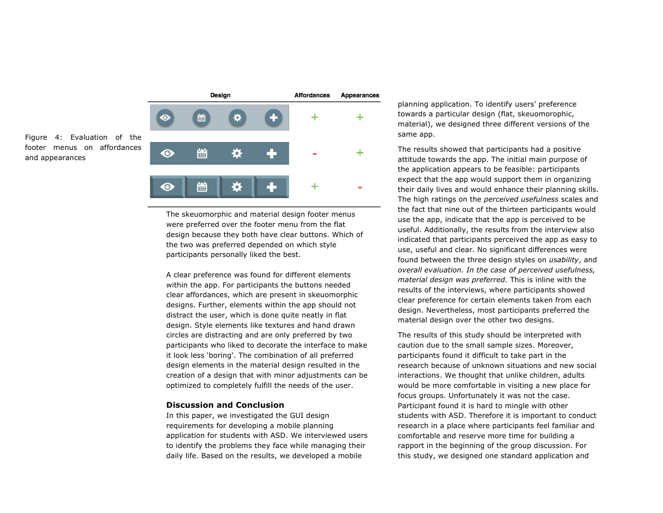Figure 4: Evaluation of the footer menus on affordances and appearances



The skeuomorphic and material design footer menus were preferred over the footer menu from the flat design because they both have clear buttons. Which of the two was preferred depended on which style participants personally liked the best.

A clear preference was found for different elements within the app. For participants the buttons needed clear affordances, which are present in skeuomorphic designs. Further, elements within the app should not distract the user, which is done quite neatly in flat design. Style elements like textures and hand drawn circles are distracting and are only preferred by two participants who liked to decorate the interface to make it look less 'boring'. The combination of all preferred design elements in the material design resulted in the creation of a design that with minor adjustments can be optimized to completely fulfill the needs of the user.

# **Discussion and Conclusion**

In this paper, we investigated the GUI design requirements for developing a mobile planning application for students with ASD. We interviewed users to identify the problems they face while managing their daily life. Based on the results, we developed a mobile

planning application. To identify users' preference towards a particular design (flat, skeuomorophic, material), we designed three different versions of the same app.

The results showed that participants had a positive attitude towards the app. The initial main purpose of the application appears to be feasible: participants expect that the app would support them in organizing their daily lives and would enhance their planning skills. The high ratings on the *perceived usefulness* scales and the fact that nine out of the thirteen participants would use the app, indicate that the app is perceived to be useful. Additionally, the results from the interview also indicated that participants perceived the app as easy to use, useful and clear. No significant differences were found between the three design styles on *usability*, and *overall evaluation. In the case of perceived usefulness, material design was preferred.* This is inline with the results of the interviews, where participants showed clear preference for certain elements taken from each design. Nevertheless, most participants preferred the material design over the other two designs.

The results of this study should be interpreted with caution due to the small sample sizes. Moreover, participants found it difficult to take part in the research because of unknown situations and new social interactions. We thought that unlike children, adults would be more comfortable in visiting a new place for focus groups. Unfortunately it was not the case. Participant found it is hard to mingle with other students with ASD. Therefore it is important to conduct research in a place where participants feel familiar and comfortable and reserve more time for building a rapport in the beginning of the group discussion. For this study, we designed one standard application and